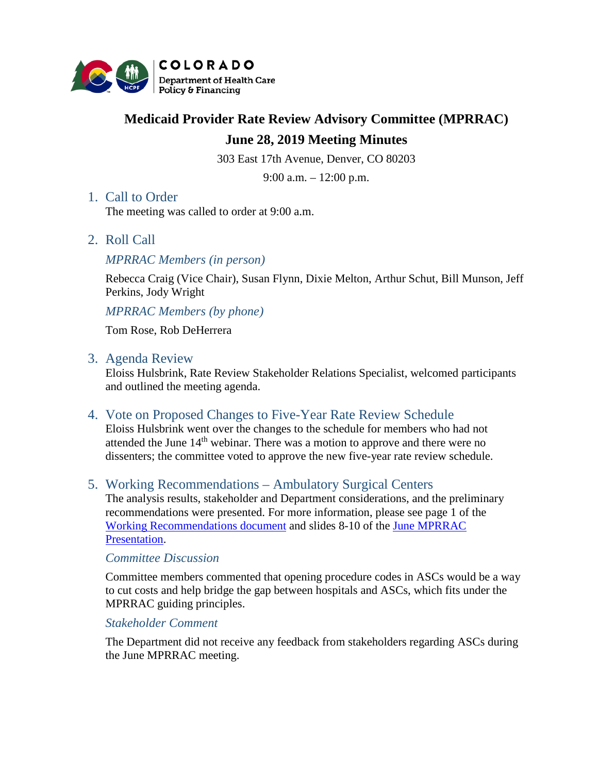

# **Medicaid Provider Rate Review Advisory Committee (MPRRAC)**

# **June 28, 2019 Meeting Minutes**

303 East 17th Avenue, Denver, CO 80203

9:00 a.m. – 12:00 p.m.

## 1. Call to Order

The meeting was called to order at 9:00 a.m.

2. Roll Call

## *MPRRAC Members (in person)*

Rebecca Craig (Vice Chair), Susan Flynn, Dixie Melton, Arthur Schut, Bill Munson, Jeff Perkins, Jody Wright

*MPRRAC Members (by phone)*

Tom Rose, Rob DeHerrera

#### 3. Agenda Review

Eloiss Hulsbrink, Rate Review Stakeholder Relations Specialist, welcomed participants and outlined the meeting agenda.

4. Vote on Proposed Changes to Five-Year Rate Review Schedule

Eloiss Hulsbrink went over the changes to the schedule for members who had not attended the June  $14<sup>th</sup>$  webinar. There was a motion to approve and there were no dissenters; the committee voted to approve the new five-year rate review schedule.

# 5. Working Recommendations – Ambulatory Surgical Centers

The analysis results, stakeholder and Department considerations, and the preliminary recommendations were presented. For more information, please see page 1 of the [Working Recommendations document](https://www.colorado.gov/pacific/sites/default/files/Rate%20Review%20Working%20Recommendations%20v2.pdf) and slides 8-10 of the [June MPRRAC](https://www.colorado.gov/pacific/sites/default/files/MPRRAC_PresentationSlides_28June2019v2.pdf)  [Presentation.](https://www.colorado.gov/pacific/sites/default/files/MPRRAC_PresentationSlides_28June2019v2.pdf)

#### *Committee Discussion*

Committee members commented that opening procedure codes in ASCs would be a way to cut costs and help bridge the gap between hospitals and ASCs, which fits under the MPRRAC guiding principles.

#### *Stakeholder Comment*

The Department did not receive any feedback from stakeholders regarding ASCs during the June MPRRAC meeting.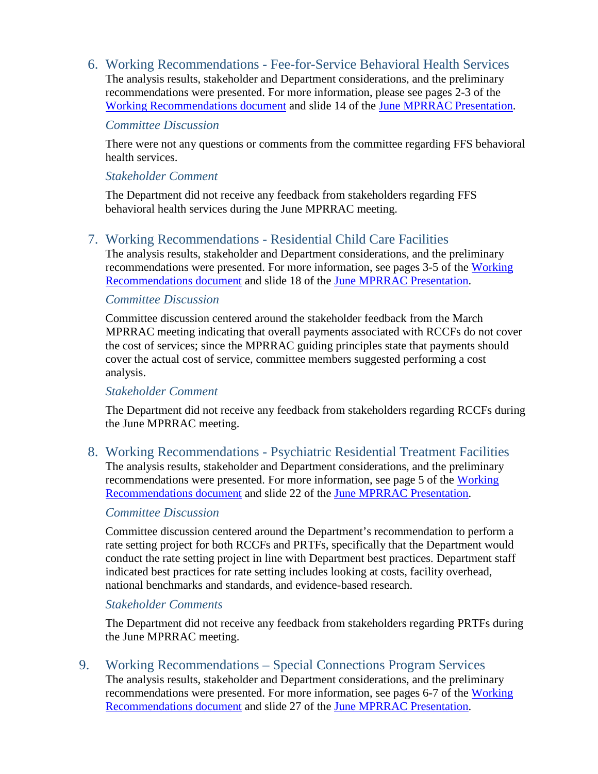6. Working Recommendations - Fee-for-Service Behavioral Health Services The analysis results, stakeholder and Department considerations, and the preliminary recommendations were presented. For more information, please see pages 2-3 of the [Working Recommendations document](https://www.colorado.gov/pacific/sites/default/files/Rate%20Review%20Working%20Recommendations%20v2.pdf) and slide 14 of the [June MPRRAC Presentation.](https://www.colorado.gov/pacific/sites/default/files/MPRRAC_PresentationSlides_28June2019v2.pdf)

#### *Committee Discussion*

There were not any questions or comments from the committee regarding FFS behavioral health services.

## *Stakeholder Comment*

The Department did not receive any feedback from stakeholders regarding FFS behavioral health services during the June MPRRAC meeting.

# 7. Working Recommendations - Residential Child Care Facilities

The analysis results, stakeholder and Department considerations, and the preliminary recommendations were presented. For more information, see pages 3-5 of the [Working](https://www.colorado.gov/pacific/sites/default/files/Rate%20Review%20Working%20Recommendations%20v2.pdf)  [Recommendations document](https://www.colorado.gov/pacific/sites/default/files/Rate%20Review%20Working%20Recommendations%20v2.pdf) and slide 18 of the [June MPRRAC Presentation.](https://www.colorado.gov/pacific/sites/default/files/MPRRAC_PresentationSlides_28June2019v2.pdf)

# *Committee Discussion*

Committee discussion centered around the stakeholder feedback from the March MPRRAC meeting indicating that overall payments associated with RCCFs do not cover the cost of services; since the MPRRAC guiding principles state that payments should cover the actual cost of service, committee members suggested performing a cost analysis.

## *Stakeholder Comment*

The Department did not receive any feedback from stakeholders regarding RCCFs during the June MPRRAC meeting.

8. Working Recommendations - Psychiatric Residential Treatment Facilities The analysis results, stakeholder and Department considerations, and the preliminary recommendations were presented. For more information, see page 5 of the Working [Recommendations document](https://www.colorado.gov/pacific/sites/default/files/Rate%20Review%20Working%20Recommendations%20v2.pdf) and slide 22 of the [June MPRRAC Presentation.](https://www.colorado.gov/pacific/sites/default/files/MPRRAC_PresentationSlides_28June2019v2.pdf)

# *Committee Discussion*

Committee discussion centered around the Department's recommendation to perform a rate setting project for both RCCFs and PRTFs, specifically that the Department would conduct the rate setting project in line with Department best practices. Department staff indicated best practices for rate setting includes looking at costs, facility overhead, national benchmarks and standards, and evidence-based research.

# *Stakeholder Comments*

The Department did not receive any feedback from stakeholders regarding PRTFs during the June MPRRAC meeting.

9. Working Recommendations – Special Connections Program Services The analysis results, stakeholder and Department considerations, and the preliminary recommendations were presented. For more information, see pages 6-7 of the [Working](https://www.colorado.gov/pacific/sites/default/files/Rate%20Review%20Working%20Recommendations%20v2.pdf)  [Recommendations document](https://www.colorado.gov/pacific/sites/default/files/Rate%20Review%20Working%20Recommendations%20v2.pdf) and slide 27 of the [June MPRRAC Presentation.](https://www.colorado.gov/pacific/sites/default/files/MPRRAC_PresentationSlides_28June2019v2.pdf)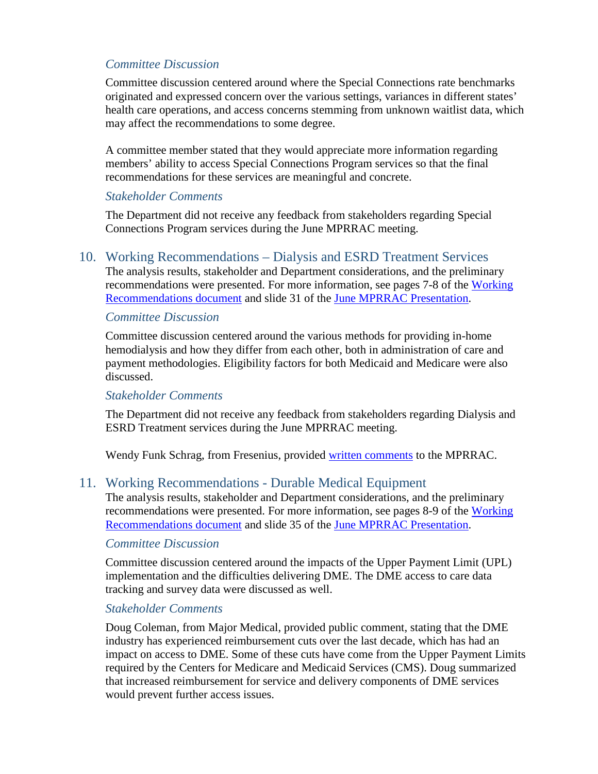# *Committee Discussion*

Committee discussion centered around where the Special Connections rate benchmarks originated and expressed concern over the various settings, variances in different states' health care operations, and access concerns stemming from unknown waitlist data, which may affect the recommendations to some degree.

A committee member stated that they would appreciate more information regarding members' ability to access Special Connections Program services so that the final recommendations for these services are meaningful and concrete.

#### *Stakeholder Comments*

The Department did not receive any feedback from stakeholders regarding Special Connections Program services during the June MPRRAC meeting.

#### 10. Working Recommendations – Dialysis and ESRD Treatment Services

The analysis results, stakeholder and Department considerations, and the preliminary recommendations were presented. For more information, see pages 7-8 of the Working [Recommendations document](https://www.colorado.gov/pacific/sites/default/files/Rate%20Review%20Working%20Recommendations%20v2.pdf) and slide 31 of the [June MPRRAC Presentation.](https://www.colorado.gov/pacific/sites/default/files/MPRRAC_PresentationSlides_28June2019v2.pdf)

#### *Committee Discussion*

Committee discussion centered around the various methods for providing in-home hemodialysis and how they differ from each other, both in administration of care and payment methodologies. Eligibility factors for both Medicaid and Medicare were also discussed.

## *Stakeholder Comments*

The Department did not receive any feedback from stakeholders regarding Dialysis and ESRD Treatment services during the June MPRRAC meeting.

Wendy Funk Schrag, from Fresenius, provided [written comments](https://www.colorado.gov/pacific/sites/default/files/Fresenius%20CO%20Medicaid%20rate%20review%20committee%20comments%206%2027%2019.pdf) to the MPRRAC.

## 11. Working Recommendations - Durable Medical Equipment

The analysis results, stakeholder and Department considerations, and the preliminary recommendations were presented. For more information, see pages 8-9 of the [Working](https://www.colorado.gov/pacific/sites/default/files/Rate%20Review%20Working%20Recommendations%20v2.pdf)  [Recommendations document](https://www.colorado.gov/pacific/sites/default/files/Rate%20Review%20Working%20Recommendations%20v2.pdf) and slide 35 of the [June MPRRAC Presentation.](https://www.colorado.gov/pacific/sites/default/files/MPRRAC_PresentationSlides_28June2019v2.pdf)

## *Committee Discussion*

Committee discussion centered around the impacts of the Upper Payment Limit (UPL) implementation and the difficulties delivering DME. The DME access to care data tracking and survey data were discussed as well.

## *Stakeholder Comments*

Doug Coleman, from Major Medical, provided public comment, stating that the DME industry has experienced reimbursement cuts over the last decade, which has had an impact on access to DME. Some of these cuts have come from the Upper Payment Limits required by the Centers for Medicare and Medicaid Services (CMS). Doug summarized that increased reimbursement for service and delivery components of DME services would prevent further access issues.